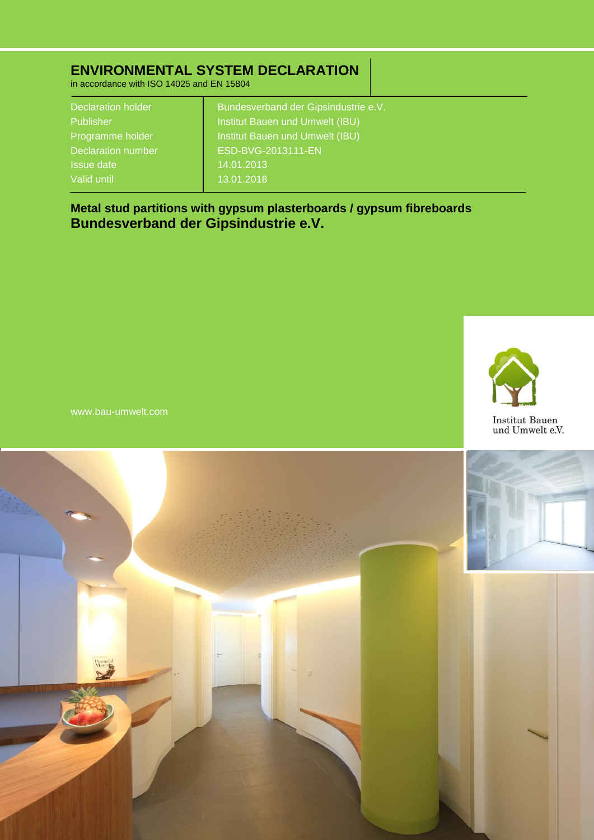# **ENVIRONMENTAL SYSTEM DECLARATION**

in accordance with ISO 14025 and EN 15804

| <b>Declaration holder</b> | Bundesverband der Gipsindustrie e.V. |  |
|---------------------------|--------------------------------------|--|
| <b>Publisher</b>          | Institut Bauen und Umwelt (IBU)      |  |
| Programme holder          | Institut Bauen und Umwelt (IBU)      |  |
| <b>Declaration number</b> | ESD-BVG-2013111-EN                   |  |
| <b>Issue date</b>         | 14.01.2013                           |  |
| Valid until               | 13.01.2018                           |  |
|                           |                                      |  |

**Metal stud partitions with gypsum plasterboards / gypsum fibreboards Bundesverband der Gipsindustrie e.V.**



www.bau-umwelt.com

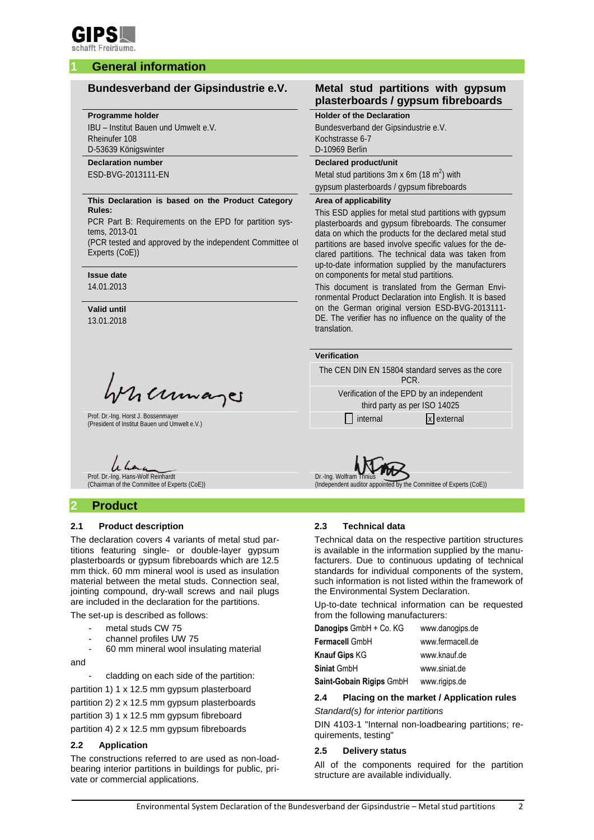

## **1 General information**

#### **Programme holder**

IBU – Institut Bauen und Umwelt e.V. Rheinufer 108 D-53639 Königswinter

## **Declaration number**

ESD-BVG-2013111-EN

#### **This Declaration is based on the Product Category Rules:**

PCR Part B: Requirements on the EPD for partition systems, 2013-01

(PCR tested and approved by the independent Committee of Experts (CoE))

**Issue date**

14.01.2013

**Valid until** 13.01.2018

Mumaje

Prof. Dr.-Ing. Horst J. Bossenmayer Prof. Dr.-Ing. Horst J. Bossenmayer<br>(President of Institut Bauen und Umwelt e.V.) internal internal internal x external x external

Prof. Dr.-Ing. Hans-Wolf Reinhardt (Chairman of the Committee of Experts (CoE))

## **2 Product**

#### **2.1 Product description**

The declaration covers 4 variants of metal stud partitions featuring single- or double-layer gypsum plasterboards or gypsum fibreboards which are 12.5 mm thick. 60 mm mineral wool is used as insulation material between the metal studs. Connection seal, jointing compound, dry-wall screws and nail plugs are included in the declaration for the partitions.

The set-up is described as follows:

- metal studs CW 75
- channel profiles UW 75
- 60 mm mineral wool insulating material

and

cladding on each side of the partition:

partition 1) 1 x 12.5 mm gypsum plasterboard

partition 2) 2 x 12.5 mm gypsum plasterboards

partition 3) 1 x 12.5 mm gypsum fibreboard

partition 4) 2 x 12.5 mm gypsum fibreboards

#### **2.2 Application**

The constructions referred to are used as non-loadbearing interior partitions in buildings for public, private or commercial applications.

### **Bundesverband der Gipsindustrie e.V. Metal stud partitions with gypsum plasterboards / gypsum fibreboards**

#### **Holder of the Declaration**

Bundesverband der Gipsindustrie e.V. Kochstrasse 6-7 D-10969 Berlin

#### **Declared product/unit**

Metal stud partitions  $3m \times 6m$  (18 m<sup>2</sup>) with gypsum plasterboards / gypsum fibreboards

#### **Area of applicability**

This ESD applies for metal stud partitions with gypsum plasterboards and gypsum fibreboards. The consumer data on which the products for the declared metal stud partitions are based involve specific values for the declared partitions. The technical data was taken from up-to-date information supplied by the manufacturers on components for metal stud partitions.

This document is translated from the German Environmental Product Declaration into English. It is based on the German original version ESD-BVG-2013111- DE. The verifier has no influence on the quality of the translation.

#### **Verification**

The CEN DIN EN 15804 standard serves as the core PCR.

Verification of the EPD by an independent third party as per ISO 14025



 $\overline{\text{Id}}$  by the Committee of Experts (CoE))

#### **2.3 Technical data**

Technical data on the respective partition structures is available in the information supplied by the manufacturers. Due to continuous updating of technical standards for individual components of the system, such information is not listed within the framework of the Environmental System Declaration.

Up-to-date technical information can be requested from the following manufacturers:

| Danogips GmbH + Co. KG   | www.danoqips.de  |
|--------------------------|------------------|
| Fermacell GmbH           | www.fermacell.de |
| <b>Knauf Gips KG</b>     | www.knauf.de     |
| Siniat GmbH              | www.siniat.de    |
| Saint-Gobain Rigips GmbH | www.rigips.de    |

#### **2.4 Placing on the market / Application rules** *Standard(s) for interior partitions*

DIN 4103-1 "Internal non-loadbearing partitions; requirements, testing"

#### **2.5 Delivery status**

All of the components required for the partition structure are available individually.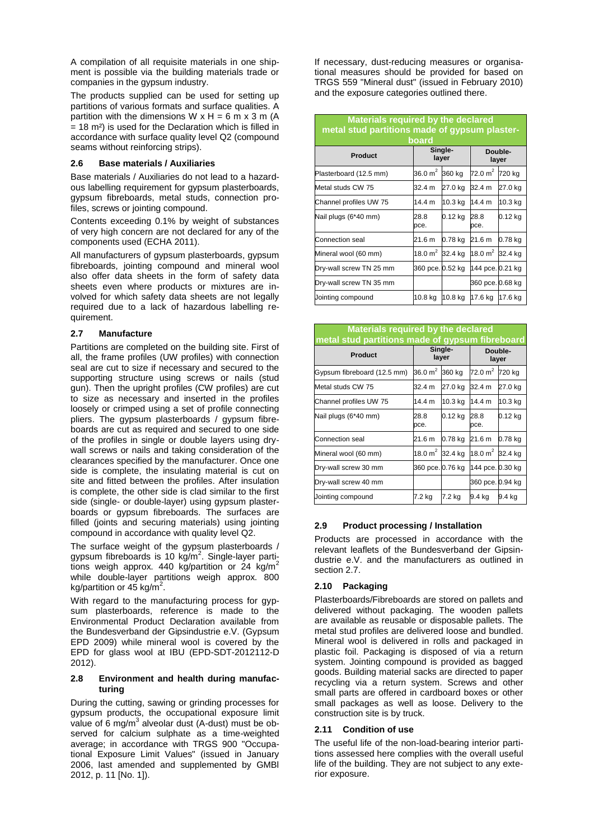A compilation of all requisite materials in one shipment is possible via the building materials trade or companies in the gypsum industry.

The products supplied can be used for setting up partitions of various formats and surface qualities. A partition with the dimensions  $W \times H = 6$  m  $\times$  3 m (A  $= 18$  m<sup>2</sup>) is used for the Declaration which is filled in accordance with surface quality level Q2 (compound seams without reinforcing strips).

#### **2.6 Base materials / Auxiliaries**

Base materials / Auxiliaries do not lead to a hazardous labelling requirement for gypsum plasterboards, gypsum fibreboards, metal studs, connection profiles, screws or jointing compound.

Contents exceeding 0.1% by weight of substances of very high concern are not declared for any of the components used (ECHA 2011).

All manufacturers of gypsum plasterboards, gypsum fibreboards, jointing compound and mineral wool also offer data sheets in the form of safety data sheets even where products or mixtures are involved for which safety data sheets are not legally required due to a lack of hazardous labelling requirement.

#### <span id="page-2-0"></span>**2.7 Manufacture**

Partitions are completed on the building site. First of all, the frame profiles (UW profiles) with connection seal are cut to size if necessary and secured to the supporting structure using screws or nails (stud gun). Then the upright profiles (CW profiles) are cut to size as necessary and inserted in the profiles loosely or crimped using a set of profile connecting pliers. The gypsum plasterboards / gypsum fibreboards are cut as required and secured to one side of the profiles in single or double layers using drywall screws or nails and taking consideration of the clearances specified by the manufacturer. Once one side is complete, the insulating material is cut on site and fitted between the profiles. After insulation is complete, the other side is clad similar to the first side (single- or double-layer) using gypsum plasterboards or gypsum fibreboards. The surfaces are filled (joints and securing materials) using jointing compound in accordance with quality level Q2.

The surface weight of the gypsum plasterboards / gypsum fibreboards is 10 kg/m<sup>2</sup>. Single-layer partitions weigh approx. 440 kg/partition or 24 kg/m<sup>2</sup> while double-layer partitions weigh approx. 800 kg/partition or  $45$  kg/m<sup>2</sup>.

With regard to the manufacturing process for gypsum plasterboards, reference is made to the Environmental Product Declaration available from the Bundesverband der Gipsindustrie e.V. (Gypsum EPD 2009) while mineral wool is covered by the EPD for glass wool at IBU (EPD-SDT-2012112-D 2012).

#### **2.8 Environment and health during manufacturing**

During the cutting, sawing or grinding processes for gypsum products, the occupational exposure limit value of 6 mg/m<sup>3</sup> alveolar dust (A-dust) must be observed for calcium sulphate as a time-weighted average; in accordance with TRGS 900 "Occupational Exposure Limit Values" (issued in January 2006, last amended and supplemented by GMBl 2012, p. 11 [No. 1]).

If necessary, dust-reducing measures or organisational measures should be provided for based on TRGS 559 "Mineral dust" (issued in February 2010) and the exposure categories outlined there.

| <b>Materials required by the declared</b><br>metal stud partitions made of gypsum plaster-<br>board |                  |         |                    |         |  |  |  |
|-----------------------------------------------------------------------------------------------------|------------------|---------|--------------------|---------|--|--|--|
| Single-<br>Double-<br>Product<br>layer<br>layer                                                     |                  |         |                    |         |  |  |  |
| Plasterboard (12.5 mm)                                                                              | 36.0 $m2$        | 360 kg  | $72.0 \text{ m}^2$ | 720 kg  |  |  |  |
| Metal studs CW 75                                                                                   | 32.4 m           | 27.0 kg | 32.4 m             | 27.0 kg |  |  |  |
| Channel profiles UW 75                                                                              | 14.4 m           | 10.3 kg | 14.4 m             | 10.3 kg |  |  |  |
| Nail plugs (6*40 mm)                                                                                | 28.8<br>pce.     | 0.12 kg | 28.8<br>pce.       | 0.12 kg |  |  |  |
| Connection seal                                                                                     | 21.6 m           | 0.78 kg | 21.6 m             | 0.78 kg |  |  |  |
| Mineral wool (60 mm)                                                                                | 18.0 $m2$        | 32.4 kg | 18.0 $m^2$         | 32.4 kg |  |  |  |
| Dry-wall screw TN 25 mm                                                                             | 360 pce. 0.52 kg |         | 144 pce. 0.21 kg   |         |  |  |  |
| Dry-wall screw TN 35 mm                                                                             |                  |         | 360 pce. 0.68 kg   |         |  |  |  |
| Jointing compound                                                                                   | 10.8 kg          | 10.8 kg | 17.6 kg            | 17.6 kg |  |  |  |

| <b>Materials required by the declared</b><br>metal stud partitions made of gypsum fibreboard |                  |                  |                     |         |  |  |  |  |
|----------------------------------------------------------------------------------------------|------------------|------------------|---------------------|---------|--|--|--|--|
| <b>Product</b>                                                                               |                  | Single-<br>layer | Double-<br>layer    |         |  |  |  |  |
| Gypsum fibreboard (12.5 mm)                                                                  | 36.0 $m^2$       | 360 kg           | 72.0 m <sup>2</sup> | 720 kg  |  |  |  |  |
| Metal studs CW 75                                                                            | 32.4 m           | 27.0 kg          | 32.4 m              | 27.0 kg |  |  |  |  |
| Channel profiles UW 75                                                                       | 14.4 m           | 10.3 kg          | 14.4 m              | 10.3 kg |  |  |  |  |
| Nail plugs (6*40 mm)                                                                         | 28.8<br>pce.     | 0.12 kg          | 28.8<br>pce.        | 0.12 kg |  |  |  |  |
| Connection seal                                                                              | 21.6 m           | 0.78 kg          | 21.6 m              | 0.78 kg |  |  |  |  |
| Mineral wool (60 mm)                                                                         | 18.0 $m^2$       | 32.4 kg          | 18.0 $m^2$          | 32.4 kg |  |  |  |  |
| Dry-wall screw 30 mm                                                                         | 360 pce. 0.76 kg |                  | 144 pce. 0.30 kg    |         |  |  |  |  |
| Dry-wall screw 40 mm                                                                         |                  |                  | 360 pce. 0.94 kg    |         |  |  |  |  |
| Jointing compound                                                                            | 7.2 kg           | 7.2 kg           | 9.4 kg              | 9.4 kg  |  |  |  |  |

#### **2.9 Product processing / Installation**

Products are processed in accordance with the relevant leaflets of the Bundesverband der Gipsindustrie e.V. and the manufacturers as outlined in sectio[n 2.7.](#page-2-0)

#### **2.10 Packaging**

Plasterboards/Fibreboards are stored on pallets and delivered without packaging. The wooden pallets are available as reusable or disposable pallets. The metal stud profiles are delivered loose and bundled. Mineral wool is delivered in rolls and packaged in plastic foil. Packaging is disposed of via a return system. Jointing compound is provided as bagged goods. Building material sacks are directed to paper recycling via a return system. Screws and other small parts are offered in cardboard boxes or other small packages as well as loose. Delivery to the construction site is by truck.

#### **2.11 Condition of use**

The useful life of the non-load-bearing interior partitions assessed here complies with the overall useful life of the building. They are not subject to any exterior exposure.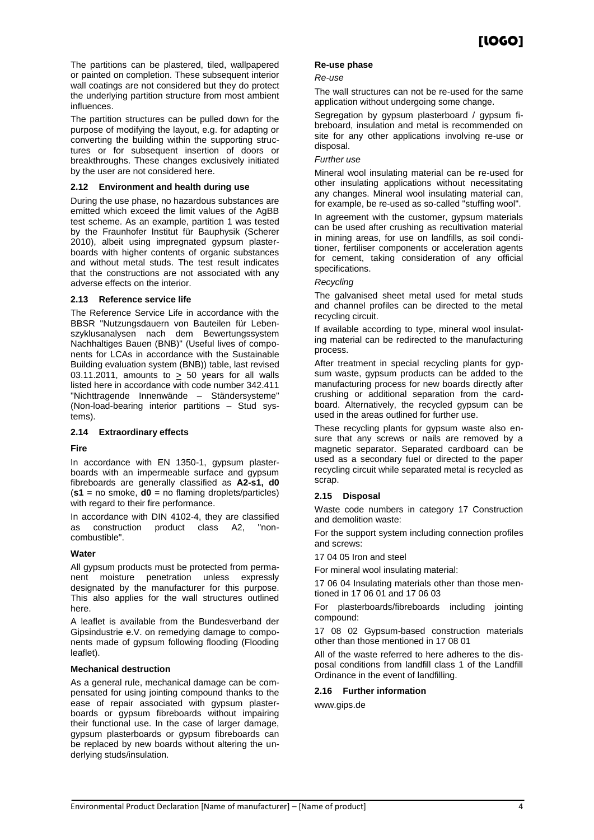The partitions can be plastered, tiled, wallpapered or painted on completion. These subsequent interior wall coatings are not considered but they do protect the underlying partition structure from most ambient influences.

The partition structures can be pulled down for the purpose of modifying the layout, e.g. for adapting or converting the building within the supporting structures or for subsequent insertion of doors or breakthroughs. These changes exclusively initiated by the user are not considered here.

#### **2.12 Environment and health during use**

During the use phase, no hazardous substances are emitted which exceed the limit values of the AgBB test scheme. As an example, partition 1 was tested by the Fraunhofer Institut für Bauphysik (Scherer 2010), albeit using impregnated gypsum plasterboards with higher contents of organic substances and without metal studs. The test result indicates that the constructions are not associated with any adverse effects on the interior.

#### **2.13 Reference service life**

The Reference Service Life in accordance with the BBSR "Nutzungsdauern von Bauteilen für Lebenszyklusanalysen nach dem Bewertungssystem Nachhaltiges Bauen (BNB)" (Useful lives of components for LCAs in accordance with the Sustainable Building evaluation system (BNB)) table, last revised 03.11.2011, amounts to  $\geq$  50 years for all walls listed here in accordance with code number 342.411 "Nichttragende Innenwände – Ständersysteme" (Non-load-bearing interior partitions – Stud systems).

#### **2.14 Extraordinary effects**

#### **Fire**

In accordance with EN 1350-1, gypsum plasterboards with an impermeable surface and gypsum fibreboards are generally classified as **A2-s1, d0**  (**s1** = no smoke, **d0** = no flaming droplets/particles) with regard to their fire performance.

In accordance with DIN 4102-4, they are classified as construction product class A2, "noncombustible".

#### **Water**

All gypsum products must be protected from permanent moisture penetration unless expressly designated by the manufacturer for this purpose. This also applies for the wall structures outlined here.

A leaflet is available from the Bundesverband der Gipsindustrie e.V. on remedying damage to components made of gypsum following flooding (Flooding leaflet).

#### **Mechanical destruction**

As a general rule, mechanical damage can be compensated for using jointing compound thanks to the ease of repair associated with gypsum plasterboards or gypsum fibreboards without impairing their functional use. In the case of larger damage, gypsum plasterboards or gypsum fibreboards can be replaced by new boards without altering the underlying studs/insulation.

#### **Re-use phase**

#### *Re-use*

The wall structures can not be re-used for the same application without undergoing some change.

Segregation by gypsum plasterboard / gypsum fibreboard, insulation and metal is recommended on site for any other applications involving re-use or disposal.

#### *Further use*

Mineral wool insulating material can be re-used for other insulating applications without necessitating any changes. Mineral wool insulating material can, for example, be re-used as so-called "stuffing wool".

In agreement with the customer, gypsum materials can be used after crushing as recultivation material in mining areas, for use on landfills, as soil conditioner, fertiliser components or acceleration agents for cement, taking consideration of any official specifications.

#### *Recycling*

The galvanised sheet metal used for metal studs and channel profiles can be directed to the metal recycling circuit.

If available according to type, mineral wool insulating material can be redirected to the manufacturing process.

After treatment in special recycling plants for gypsum waste, gypsum products can be added to the manufacturing process for new boards directly after crushing or additional separation from the cardboard. Alternatively, the recycled gypsum can be used in the areas outlined for further use.

These recycling plants for gypsum waste also ensure that any screws or nails are removed by a magnetic separator. Separated cardboard can be used as a secondary fuel or directed to the paper recycling circuit while separated metal is recycled as scrap.

#### **2.15 Disposal**

Waste code numbers in category 17 Construction and demolition waste:

For the support system including connection profiles and screws:

17 04 05 Iron and steel

For mineral wool insulating material:

17 06 04 Insulating materials other than those mentioned in 17 06 01 and 17 06 03

For plasterboards/fibreboards including jointing compound:

17 08 02 Gypsum-based construction materials other than those mentioned in 17 08 01

All of the waste referred to here adheres to the disposal conditions from landfill class 1 of the Landfill Ordinance in the event of landfilling.

#### **2.16 Further information**

[www.gips.de](http://www.gips.de/)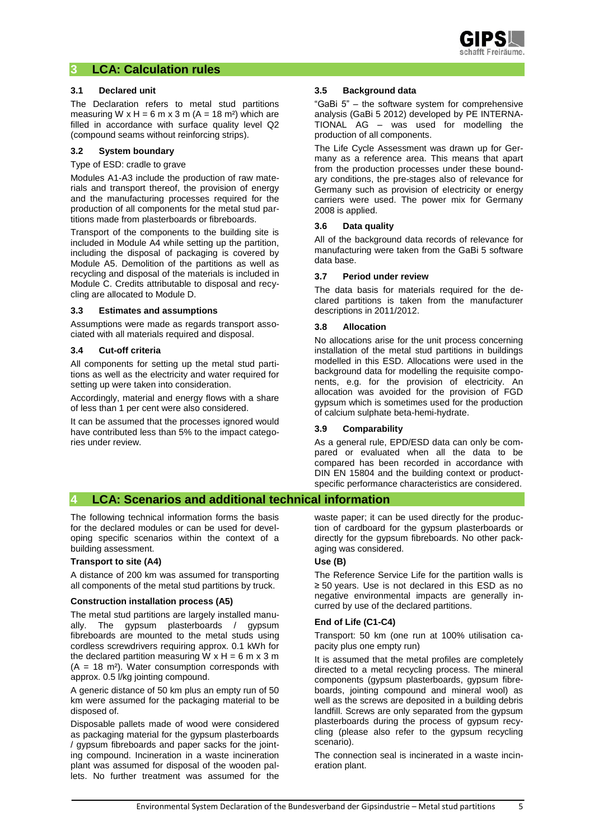

## **3 LCA: Calculation rules**

#### **3.1 Declared unit**

The Declaration refers to metal stud partitions measuring W  $x$  H = 6 m  $x$  3 m (A = 18 m<sup>2</sup>) which are filled in accordance with surface quality level Q2 (compound seams without reinforcing strips).

#### **3.2 System boundary**

Type of ESD: cradle to grave

Modules A1-A3 include the production of raw materials and transport thereof, the provision of energy and the manufacturing processes required for the production of all components for the metal stud partitions made from plasterboards or fibreboards.

Transport of the components to the building site is included in Module A4 while setting up the partition, including the disposal of packaging is covered by Module A5. Demolition of the partitions as well as recycling and disposal of the materials is included in Module C. Credits attributable to disposal and recycling are allocated to Module D.

#### **3.3 Estimates and assumptions**

Assumptions were made as regards transport associated with all materials required and disposal.

#### **3.4 Cut-off criteria**

All components for setting up the metal stud partitions as well as the electricity and water required for setting up were taken into consideration.

Accordingly, material and energy flows with a share of less than 1 per cent were also considered.

It can be assumed that the processes ignored would have contributed less than 5% to the impact categories under review.

#### **3.5 Background data**

"GaBi 5" – the software system for comprehensive analysis (GaBi 5 2012) developed by PE INTERNA-TIONAL AG – was used for modelling the production of all components.

The Life Cycle Assessment was drawn up for Germany as a reference area. This means that apart from the production processes under these boundary conditions, the pre-stages also of relevance for Germany such as provision of electricity or energy carriers were used. The power mix for Germany 2008 is applied.

#### **3.6 Data quality**

All of the background data records of relevance for manufacturing were taken from the GaBi 5 software data base.

#### **3.7 Period under review**

The data basis for materials required for the declared partitions is taken from the manufacturer descriptions in 2011/2012.

#### **3.8 Allocation**

No allocations arise for the unit process concerning installation of the metal stud partitions in buildings modelled in this ESD. Allocations were used in the background data for modelling the requisite components, e.g. for the provision of electricity. An allocation was avoided for the provision of FGD gypsum which is sometimes used for the production of calcium sulphate beta-hemi-hydrate.

#### **3.9 Comparability**

As a general rule, EPD/ESD data can only be compared or evaluated when all the data to be compared has been recorded in accordance with DIN EN 15804 and the building context or productspecific performance characteristics are considered.

## **4 LCA: Scenarios and additional technical information**

The following technical information forms the basis for the declared modules or can be used for developing specific scenarios within the context of a building assessment.

#### **Transport to site (A4)**

A distance of 200 km was assumed for transporting all components of the metal stud partitions by truck.

#### **Construction installation process (A5)**

The metal stud partitions are largely installed manually. The gypsum plasterboards / gypsum fibreboards are mounted to the metal studs using cordless screwdrivers requiring approx. 0.1 kWh for the declared partition measuring W  $x$  H = 6 m  $x$  3 m  $(A = 18 \text{ m}^2)$ . Water consumption corresponds with approx. 0.5 l/kg jointing compound.

A generic distance of 50 km plus an empty run of 50 km were assumed for the packaging material to be disposed of.

Disposable pallets made of wood were considered as packaging material for the gypsum plasterboards / gypsum fibreboards and paper sacks for the jointing compound. Incineration in a waste incineration plant was assumed for disposal of the wooden pallets. No further treatment was assumed for the

waste paper; it can be used directly for the production of cardboard for the gypsum plasterboards or directly for the gypsum fibreboards. No other packaging was considered.

#### **Use (B)**

The Reference Service Life for the partition walls is ≥ 50 years. Use is not declared in this ESD as no negative environmental impacts are generally incurred by use of the declared partitions.

#### **End of Life (C1-C4)**

Transport: 50 km (one run at 100% utilisation capacity plus one empty run)

It is assumed that the metal profiles are completely directed to a metal recycling process. The mineral components (gypsum plasterboards, gypsum fibreboards, jointing compound and mineral wool) as well as the screws are deposited in a building debris landfill. Screws are only separated from the gypsum plasterboards during the process of gypsum recycling (please also refer to the gypsum recycling scenario).

The connection seal is incinerated in a waste incineration plant.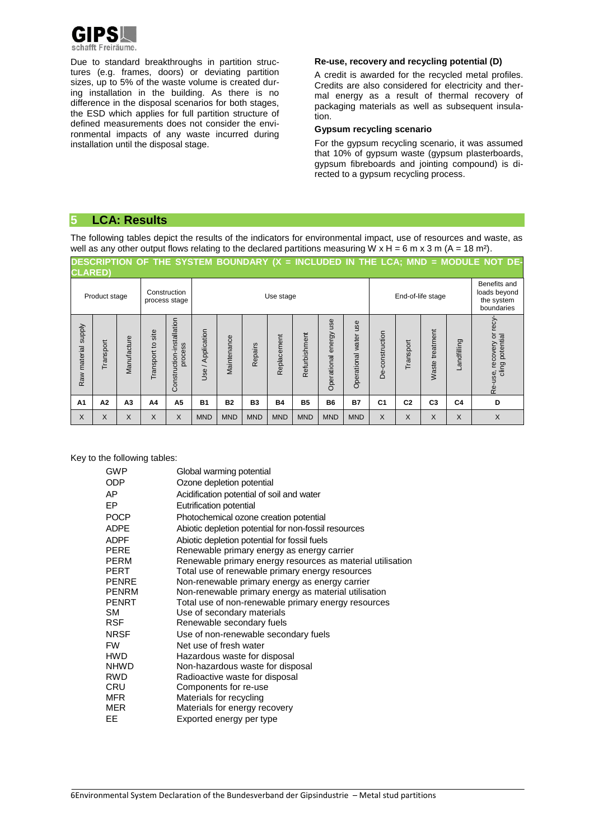

Due to standard breakthroughs in partition structures (e.g. frames, doors) or deviating partition sizes, up to 5% of the waste volume is created during installation in the building. As there is no difference in the disposal scenarios for both stages, the ESD which applies for full partition structure of defined measurements does not consider the environmental impacts of any waste incurred during installation until the disposal stage.

#### **Re-use, recovery and recycling potential (D)**

A credit is awarded for the recycled metal profiles. Credits are also considered for electricity and thermal energy as a result of thermal recovery of packaging materials as well as subsequent insulation.

#### **Gypsum recycling scenario**

For the gypsum recycling scenario, it was assumed that 10% of gypsum waste (gypsum plasterboards, gypsum fibreboards and jointing compound) is directed to a gypsum recycling process.

## **5 LCA: Results**

The following tables depict the results of the indicators for environmental impact, use of resources and waste, as well as any other output flows relating to the declared partitions measuring W  $x$  H = 6 m  $x$  3 m (A = 18 m<sup>2</sup>).

| <b>CLARED)</b>      |               |                |                      |                                      |                   |              |            |             |               |                              |                             |                   |                |                      |                | DESCRIPTION OF THE SYSTEM BOUNDARY (X = INCLUDED IN THE LCA; MND = MODULE NOT DE- |
|---------------------|---------------|----------------|----------------------|--------------------------------------|-------------------|--------------|------------|-------------|---------------|------------------------------|-----------------------------|-------------------|----------------|----------------------|----------------|-----------------------------------------------------------------------------------|
|                     | Product stage |                |                      | Construction<br>process stage        |                   | Use stage    |            |             |               |                              |                             | End-of-life stage |                |                      |                | Benefits and<br>loads beyond<br>the system<br>boundaries                          |
| Raw material supply | Transport     | Manufacture    | site<br>Transport to | Construction-installation<br>process | Use / Application | Vlaintenance | Repairs    | Replacement | Refurbishment | use<br>energy<br>Operational | use<br>water<br>Operational | De-construction   | Transport      | treatment<br>Waste t | Landfilling    | recy<br>Re-use, recovery or<br>cling potential                                    |
| A <sub>1</sub>      | A2            | A <sub>3</sub> | A4                   | A <sub>5</sub>                       | <b>B1</b>         | <b>B2</b>    | <b>B3</b>  | <b>B4</b>   | <b>B5</b>     | <b>B6</b>                    | <b>B7</b>                   | C <sub>1</sub>    | C <sub>2</sub> | C <sub>3</sub>       | C <sub>4</sub> | D                                                                                 |
| $\times$            | X             | X              | X                    | X                                    | <b>MND</b>        | <b>MND</b>   | <b>MND</b> | <b>MND</b>  | <b>MND</b>    | <b>MND</b>                   | <b>MND</b>                  | X                 | X              | X                    | X              | X                                                                                 |

#### Key to the following tables:

| <b>GWP</b>   | Global warming potential                                   |
|--------------|------------------------------------------------------------|
| <b>ODP</b>   | Ozone depletion potential                                  |
| AP           | Acidification potential of soil and water                  |
| EP           | Eutrification potential                                    |
| <b>POCP</b>  | Photochemical ozone creation potential                     |
| <b>ADPE</b>  | Abiotic depletion potential for non-fossil resources       |
| <b>ADPF</b>  | Abiotic depletion potential for fossil fuels               |
| <b>PERE</b>  | Renewable primary energy as energy carrier                 |
| <b>PERM</b>  | Renewable primary energy resources as material utilisation |
| PERT         | Total use of renewable primary energy resources            |
| <b>PENRE</b> | Non-renewable primary energy as energy carrier             |
| PENRM        | Non-renewable primary energy as material utilisation       |
| <b>PENRT</b> | Total use of non-renewable primary energy resources        |
| <b>SM</b>    | Use of secondary materials                                 |
| <b>RSF</b>   | Renewable secondary fuels                                  |
| <b>NRSF</b>  | Use of non-renewable secondary fuels                       |
| <b>FW</b>    | Net use of fresh water                                     |
| <b>HWD</b>   | Hazardous waste for disposal                               |
| <b>NHWD</b>  | Non-hazardous waste for disposal                           |
| <b>RWD</b>   | Radioactive waste for disposal                             |
| <b>CRU</b>   | Components for re-use                                      |
| <b>MFR</b>   | Materials for recycling                                    |
| <b>MER</b>   | Materials for energy recovery                              |
| EE.          | Exported energy per type                                   |
|              |                                                            |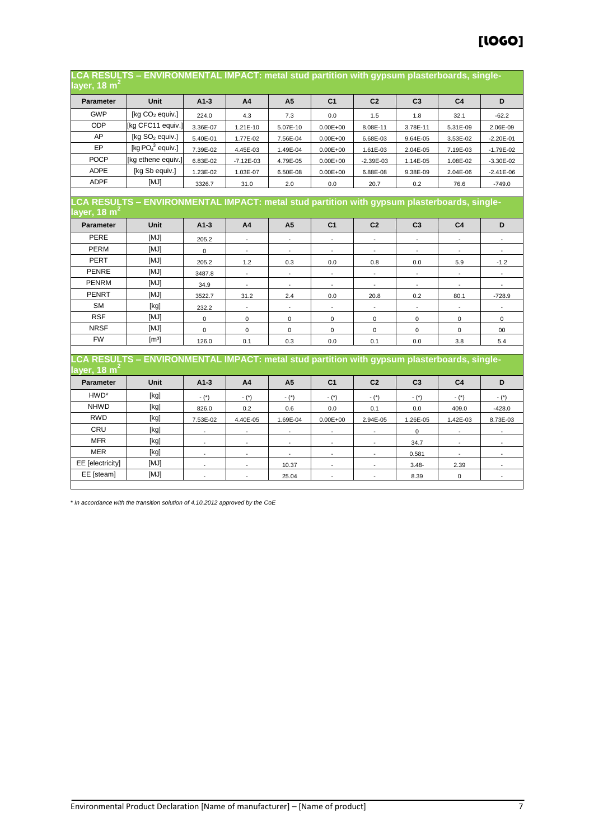| layer, 18 m <sup>2</sup> | -CA RESULTS – ENVIRONMENTAL IMPACT: metal stud partition with gypsum plasterboards, single. |                |                          |                          |                          |                          |                |                          |                |
|--------------------------|---------------------------------------------------------------------------------------------|----------------|--------------------------|--------------------------|--------------------------|--------------------------|----------------|--------------------------|----------------|
| Parameter                | Unit                                                                                        | $A1-3$         | A4                       | A <sub>5</sub>           | C <sub>1</sub>           | C <sub>2</sub>           | C <sub>3</sub> | C <sub>4</sub>           | D              |
| <b>GWP</b>               | [kg CO <sub>2</sub> equiv.]                                                                 | 224.0          | 4.3                      | 7.3                      | 0.0                      | 1.5                      | 1.8            | 32.1                     | $-62.2$        |
| ODP                      | [kg CFC11 equiv.]                                                                           | 3.36E-07       | 1.21E-10                 | 5.07E-10                 | $0.00E + 00$             | 8.08E-11                 | 3.78E-11       | 5.31E-09                 | 2.06E-09       |
| AP                       | [kg SO <sub>2</sub> equiv.]                                                                 | 5.40E-01       | 1.77E-02                 | 7.56E-04                 | $0.00E + 00$             | 6.68E-03                 | 9.64E-05       | 3.53E-02                 | $-2.20E - 01$  |
| EP                       | [kg $PO43$ equiv.]                                                                          | 7.39E-02       | 4.45E-03                 | 1.49E-04                 | $0.00E + 00$             | 1.61E-03                 | 2.04E-05       | 7.19E-03                 | $-1.79E-02$    |
| <b>POCP</b>              | [kg ethene equiv.]                                                                          | 6.83E-02       | $-7.12E-03$              | 4.79E-05                 | $0.00E + 00$             | $-2.39E-03$              | 1.14E-05       | 1.08E-02                 | $-3.30E - 02$  |
| <b>ADPE</b>              | [kg Sb equiv.]                                                                              | 1.23E-02       | 1.03E-07                 | 6.50E-08                 | $0.00E + 00$             | 6.88E-08                 | 9.38E-09       | 2.04E-06                 | $-2.41E-06$    |
| <b>ADPF</b>              | [MJ]                                                                                        | 3326.7         | 31.0                     | 2.0                      | 0.0                      | 20.7                     | 0.2            | 76.6                     | $-749.0$       |
| layer, 18 m $^{\circ}$   | CA RESULTS - ENVIRONMENTAL IMPACT: metal stud partition with gypsum plasterboards, single-  |                |                          |                          |                          |                          |                |                          |                |
| <b>Parameter</b>         | Unit                                                                                        | $A1-3$         | A4                       | A <sub>5</sub>           | C <sub>1</sub>           | C <sub>2</sub>           | C <sub>3</sub> | C <sub>4</sub>           | D              |
| PERE                     | [MJ]                                                                                        | 205.2          |                          |                          |                          |                          |                |                          |                |
| PERM                     | [MJ]                                                                                        | $\mathbf 0$    |                          |                          |                          |                          |                |                          |                |
| PERT                     | [MJ]                                                                                        | 205.2          | 1.2                      | 0.3                      | 0.0                      | 0.8                      | 0.0            | 5.9                      | $-1.2$         |
| <b>PENRE</b>             | [MJ]                                                                                        | 3487.8         | $\blacksquare$           | $\blacksquare$           | $\overline{\phantom{a}}$ | $\overline{\phantom{a}}$ | $\blacksquare$ | $\overline{\phantom{a}}$ | $\blacksquare$ |
| <b>PENRM</b>             | [MJ]                                                                                        | 34.9           | $\overline{\phantom{a}}$ | $\sim$                   | $\overline{\phantom{a}}$ | $\sim$                   | $\blacksquare$ | $\overline{\phantom{a}}$ | $\overline{a}$ |
| <b>PENRT</b>             | [MJ]                                                                                        | 3522.7         | 31.2                     | 2.4                      | 0.0                      | 20.8                     | 0.2            | 80.1                     | $-728.9$       |
| SM                       | [kg]                                                                                        | 232.2          | $\blacksquare$           | $\blacksquare$           | $\blacksquare$           | $\blacksquare$           | $\blacksquare$ |                          |                |
| <b>RSF</b>               | [MJ]                                                                                        | $\mathbf 0$    | $\mathbf 0$              | $\pmb{0}$                | $\mathbf 0$              | 0                        | $\mathbf 0$    | 0                        | $\mathbf 0$    |
| <b>NRSF</b>              | [MJ]                                                                                        | $\mathbf 0$    | 0                        | $\pmb{0}$                | 0                        | $\mathsf 0$              | 0              | 0                        | $00\,$         |
| <b>FW</b>                | $\lceil m^3 \rceil$                                                                         | 126.0          | 0.1                      | 0.3                      | 0.0                      | 0.1                      | 0.0            | 3.8                      | 5.4            |
| layer, 18 m <sup>2</sup> | LCA RESULTS - ENVIRONMENTAL IMPACT: metal stud partition with gypsum plasterboards, single- |                |                          |                          |                          |                          |                |                          |                |
| <b>Parameter</b>         | Unit                                                                                        | $A1-3$         | A <sub>4</sub>           | A <sub>5</sub>           | C <sub>1</sub>           | C <sub>2</sub>           | C <sub>3</sub> | C <sub>4</sub>           | D              |
| HWD*                     | [kg]                                                                                        | $ (*)$         | $-$ (*)                  | $ (*)$                   | $-$ (*)                  | - (*)                    | $-$ (*)        | $ (*)$                   | $-$ (*)        |
| <b>NHWD</b>              | [kg]                                                                                        | 826.0          | 0.2                      | 0.6                      | 0.0                      | 0.1                      | 0.0            | 409.0                    | $-428.0$       |
| <b>RWD</b>               | [kg]                                                                                        | 7.53E-02       | 4.40E-05                 | 1.69E-04                 | $0.00E + 00$             | 2.94E-05                 | 1.26E-05       | 1.42E-03                 | 8.73E-03       |
| CRU                      | [kg]                                                                                        |                | $\blacksquare$           |                          | $\overline{\phantom{a}}$ |                          | 0              |                          |                |
| <b>MFR</b>               | [kg]                                                                                        |                | $\overline{a}$           |                          | $\overline{a}$           |                          | 34.7           |                          |                |
| <b>MER</b>               | [kg]                                                                                        | $\overline{a}$ | $\overline{\phantom{a}}$ | $\overline{\phantom{a}}$ | $\overline{\phantom{a}}$ | ÷,                       | 0.581          | $\overline{\phantom{a}}$ | ÷,             |
| EE [electricity]         | [MJ]                                                                                        |                |                          | 10.37                    |                          |                          | $3.48 -$       | 2.39                     |                |
| EE [steam]               | [MJ]                                                                                        | $\overline{a}$ | ÷,                       | 25.04                    | $\overline{\phantom{a}}$ | $\overline{\phantom{a}}$ | 8.39           | 0                        | $\blacksquare$ |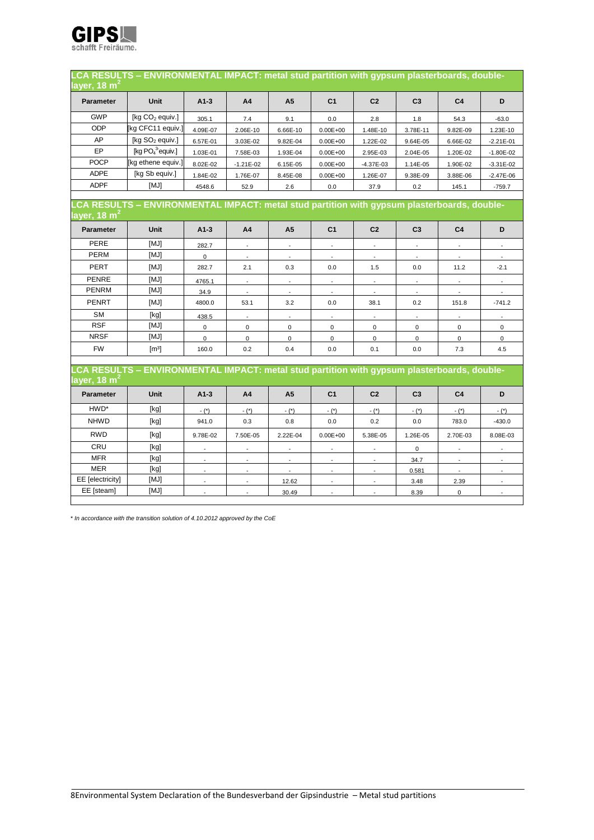

| layer, 18 m <sup>2</sup> | LCA RESULTS - ENVIRONMENTAL IMPACT: metal stud partition with gypsum plasterboards, double- |                          |                             |                          |                             |                          |                             |                          |                          |
|--------------------------|---------------------------------------------------------------------------------------------|--------------------------|-----------------------------|--------------------------|-----------------------------|--------------------------|-----------------------------|--------------------------|--------------------------|
| Parameter                | Unit                                                                                        | $A1-3$                   | A <sub>4</sub>              | A <sub>5</sub>           | C <sub>1</sub>              | C <sub>2</sub>           | C <sub>3</sub>              | C <sub>4</sub>           | D                        |
| <b>GWP</b>               | [kg CO <sub>2</sub> equiv.]                                                                 | 305.1                    | 7.4                         | 9.1                      | 0.0                         | 2.8                      | 1.8                         | 54.3                     | $-63.0$                  |
| <b>ODP</b>               | [kg CFC11 equiv.]                                                                           | 4.09E-07                 | 2.06E-10                    | 6.66E-10                 | $0.00E + 00$                | 1.48E-10                 | 3.78E-11                    | 9.82E-09                 | 1.23E-10                 |
| AP                       | [kg SO <sub>2</sub> equiv.]                                                                 | 6.57E-01                 | 3.03E-02                    | 9.82E-04                 | $0.00E + 00$                | 1.22E-02                 | 9.64E-05                    | 6.66E-02                 | $-2.21E-01$              |
| EP                       | [kg $PO43$ equiv.]                                                                          | 1.03E-01                 | 7.58E-03                    | 1.93E-04                 | $0.00E + 00$                | 2.95E-03                 | 2.04E-05                    | 1.20E-02                 | $-1.80E - 02$            |
| <b>POCP</b>              | [kg ethene equiv.]                                                                          | 8.02E-02                 | $-1.21E-02$                 | 6.15E-05                 | $0.00E + 00$                | $-4.37E-03$              | 1.14E-05                    | 1.90E-02                 | $-3.31E-02$              |
| <b>ADPE</b>              | [kg Sb equiv.]                                                                              | 1.84E-02                 | 1.76E-07                    | 8.45E-08                 | $0.00E + 00$                | 1.26E-07                 | 9.38E-09                    | 3.88E-06                 | $-2.47E-06$              |
| <b>ADPF</b>              | [MJ]                                                                                        | 4548.6                   | 52.9                        | 2.6                      | 0.0                         | 37.9                     | 0.2                         | 145.1                    | $-759.7$                 |
|                          |                                                                                             |                          |                             |                          |                             |                          |                             |                          |                          |
| layer, 18 m <sup>2</sup> | LCA RESULTS - ENVIRONMENTAL IMPACT: metal stud partition with gypsum plasterboards, double- |                          |                             |                          |                             |                          |                             |                          |                          |
| Parameter                | Unit                                                                                        | $A1-3$                   | A4                          | A <sub>5</sub>           | C <sub>1</sub>              | C <sub>2</sub>           | C <sub>3</sub>              | C <sub>4</sub>           | D                        |
| PERE                     | [MJ]                                                                                        | 282.7                    | $\blacksquare$              | $\blacksquare$           | $\blacksquare$              | $\overline{\phantom{a}}$ | $\Box$                      | $\overline{\phantom{a}}$ | $\overline{\phantom{a}}$ |
| <b>PERM</b>              | [MJ]                                                                                        | $\mathbf 0$              | $\blacksquare$              | $\blacksquare$           | $\blacksquare$              | $\blacksquare$           | $\blacksquare$              |                          |                          |
| PERT                     | [MJ]                                                                                        | 282.7                    | 2.1                         | 0.3                      | 0.0                         | 1.5                      | 0.0                         | 11.2                     | $-2.1$                   |
| <b>PENRE</b>             | [MJ]                                                                                        | 4765.1                   | $\mathcal{L}_{\mathcal{A}}$ | $\blacksquare$           | $\mathcal{L}_{\mathcal{A}}$ | $\overline{\phantom{a}}$ | $\mathcal{L}_{\mathcal{A}}$ | $\overline{\phantom{a}}$ | $\sim$                   |
| <b>PENRM</b>             | [MJ]                                                                                        | 34.9                     | $\overline{\phantom{a}}$    | $\overline{\phantom{a}}$ | $\overline{\phantom{a}}$    | $\overline{\phantom{a}}$ | $\overline{\phantom{a}}$    |                          |                          |
| PENRT                    | [MJ]                                                                                        | 4800.0                   | 53.1                        | 3.2                      | 0.0                         | 38.1                     | 0.2                         | 151.8                    | $-741.2$                 |
| <b>SM</b>                | [kg]                                                                                        | 438.5                    | $\overline{\phantom{a}}$    | $\overline{\phantom{a}}$ | $\blacksquare$              | $\overline{\phantom{a}}$ | $\overline{\phantom{a}}$    | $\overline{\phantom{a}}$ | $\overline{\phantom{a}}$ |
| <b>RSF</b>               | [MJ]                                                                                        | $\mathbf 0$              | $\mathbf{0}$                | $\overline{0}$           | $\mathbf{0}$                | 0                        | $\mathbf{0}$                | $\mathbf 0$              | $\mathbf{0}$             |
| <b>NRSF</b>              | [MJ]                                                                                        | 0                        | 0                           | 0                        | $\mathbf 0$                 | 0                        | 0                           | 0                        | 0                        |
| <b>FW</b>                | $\lceil m^3 \rceil$                                                                         | 160.0                    | 0.2                         | 0.4                      | 0.0                         | 0.1                      | 0.0                         | 7.3                      | 4.5                      |
|                          | CA RESULTS - ENVIRONMENTAL IMPACT: metal stud partition with gypsum plasterboards, double-  |                          |                             |                          |                             |                          |                             |                          |                          |
| layer, 18 m $^{\rm 2}$   |                                                                                             |                          |                             |                          |                             |                          |                             |                          |                          |
| Parameter                | Unit                                                                                        | $A1-3$                   | A <sub>4</sub>              | A <sub>5</sub>           | C <sub>1</sub>              | C <sub>2</sub>           | C <sub>3</sub>              | C <sub>4</sub>           | D                        |
| HWD*                     | [kg]                                                                                        | $ (*)$                   | $ (*)$                      | $ (*)$                   | $ (*)$                      | $ (*)$                   | $ (*)$                      | $ (*)$                   | $ (*)$                   |
| <b>NHWD</b>              | [kg]                                                                                        | 941.0                    | 0.3                         | 0.8                      | 0.0                         | 0.2                      | 0.0                         | 783.0                    | $-430.0$                 |
| <b>RWD</b>               | [kg]                                                                                        | 9.78E-02                 | 7.50E-05                    | 2.22E-04                 | $0.00E + 00$                | 5.38E-05                 | 1.26E-05                    | 2.70E-03                 | 8.08E-03                 |
| CRU                      | [kg]                                                                                        |                          | $\overline{\phantom{a}}$    |                          |                             |                          | 0                           |                          |                          |
| <b>MFR</b>               | [kg]                                                                                        |                          |                             |                          | $\overline{a}$              |                          | 34.7                        |                          |                          |
| <b>MER</b>               | [kg]                                                                                        | $\overline{\phantom{a}}$ | $\overline{\phantom{a}}$    | $\overline{\phantom{a}}$ | $\overline{\phantom{a}}$    | $\overline{\phantom{a}}$ | 0.581                       | $\overline{\phantom{a}}$ | $\overline{\phantom{a}}$ |
| EE [electricity]         | [MJ]                                                                                        |                          |                             | 12.62                    |                             |                          | 3.48                        | 2.39                     |                          |
| EE [steam]               | [MJ]                                                                                        | $\overline{\phantom{a}}$ | $\mathcal{L}$               | 30.49                    | $\mathcal{L}$               | $\overline{\phantom{a}}$ | 8.39                        | 0                        | $\omega$                 |
|                          |                                                                                             |                          |                             |                          |                             |                          |                             |                          |                          |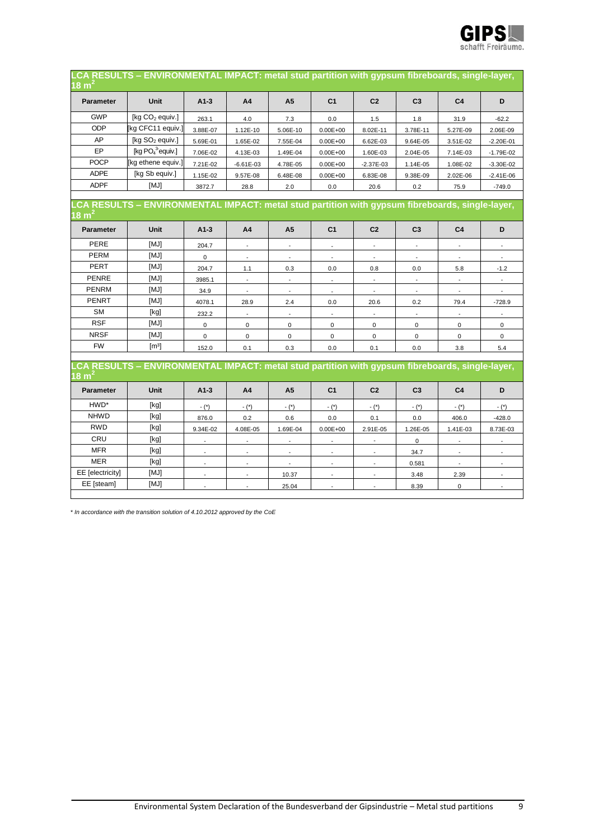

| 18 $m2$           | LCA RESULTS - ENVIRONMENTAL IMPACT: metal stud partition with gypsum fibreboards, single-layer, |                          |                          |                          |                |                          |                          |                |                |
|-------------------|-------------------------------------------------------------------------------------------------|--------------------------|--------------------------|--------------------------|----------------|--------------------------|--------------------------|----------------|----------------|
| <b>Parameter</b>  | <b>Unit</b>                                                                                     | $A1-3$                   | A <sub>4</sub>           | A <sub>5</sub>           | C <sub>1</sub> | C <sub>2</sub>           | C <sub>3</sub>           | C <sub>4</sub> | D              |
| <b>GWP</b>        | [kg CO <sub>2</sub> equiv.]                                                                     | 263.1                    | 4.0                      | 7.3                      | 0.0            | 1.5                      | 1.8                      | 31.9           | $-62.2$        |
| ODP               | [kg CFC11 equiv.]                                                                               | 3.88E-07                 | 1.12E-10                 | 5.06E-10                 | $0.00E + 00$   | 8.02E-11                 | 3.78E-11                 | 5.27E-09       | 2.06E-09       |
| AP                | [ $kg SO2$ equiv.]                                                                              | 5.69E-01                 | 1.65E-02                 | 7.55E-04                 | $0.00E + 00$   | 6.62E-03                 | 9.64E-05                 | 3.51E-02       | $-2.20E - 01$  |
| <b>EP</b>         | [kg $PO4$ <sup>3</sup> equiv.]                                                                  | 7.06E-02                 | 4.13E-03                 | 1.49E-04                 | $0.00E + 00$   | 1.60E-03                 | 2.04E-05                 | 7.14E-03       | $-1.79E - 02$  |
| <b>POCP</b>       | [kg ethene equiv.]                                                                              | 7.21E-02                 | $-6.61E-03$              | 4.78E-05                 | $0.00E + 00$   | $-2.37E-03$              | 1.14E-05                 | 1.08E-02       | $-3.30E - 02$  |
| <b>ADPE</b>       | [kg Sb equiv.]                                                                                  | 1.15E-02                 | 9.57E-08                 | 6.48E-08                 | $0.00E + 00$   | 6.83E-08                 | 9.38E-09                 | 2.02E-06       | $-2.41E-06$    |
| <b>ADPF</b>       | [MJ]                                                                                            | 3872.7                   | 28.8                     | 2.0                      | 0.0            | 20.6                     | 0.2                      | 75.9           | $-749.0$       |
|                   |                                                                                                 |                          |                          |                          |                |                          |                          |                |                |
| 18 m'             | CA RESULTS - ENVIRONMENTAL IMPACT: metal stud partition with gypsum fibreboards, single-layer,  |                          |                          |                          |                |                          |                          |                |                |
| <b>Parameter</b>  | Unit                                                                                            | $A1-3$                   | A <sub>4</sub>           | A <sub>5</sub>           | C <sub>1</sub> | C <sub>2</sub>           | C <sub>3</sub>           | C <sub>4</sub> | D              |
| <b>PERE</b>       | [MJ]                                                                                            | 204.7                    | $\overline{a}$           |                          |                |                          |                          |                |                |
| <b>PERM</b>       | [MJ]                                                                                            | $\pmb{0}$                |                          |                          |                |                          |                          |                |                |
| PERT              | [MJ]                                                                                            | 204.7                    | 1.1                      | 0.3                      | 0.0            | 0.8                      | 0.0                      | 5.8            | $-1.2$         |
| <b>PENRE</b>      | [MJ]                                                                                            | 3985.1                   |                          |                          | $\blacksquare$ |                          | $\mathbf{r}$             |                |                |
| <b>PENRM</b>      | [MJ]                                                                                            | 34.9                     | $\overline{\phantom{a}}$ | $\overline{\phantom{a}}$ | $\overline{a}$ |                          | $\overline{\phantom{a}}$ |                |                |
| PENRT             | [MJ]                                                                                            | 4078.1                   | 28.9                     | 2.4                      | 0.0            | 20.6                     | 0.2                      | 79.4           | $-728.9$       |
| <b>SM</b>         | [kg]                                                                                            | 232.2                    |                          |                          |                |                          |                          |                |                |
| <b>RSF</b>        | [MJ]                                                                                            | $\pmb{0}$                | $\mathbf 0$              | $\mathbf 0$              | $\mathbf 0$    | $\mathbf 0$              | $\mathbf 0$              | $\mathbf 0$    | 0              |
| <b>NRSF</b>       | [MJ]                                                                                            | $\mathbf 0$              | $\mathbf 0$              | $\mathbf 0$              | $\mathbf 0$    | $\mathbf 0$              | $\mathbf 0$              | 0              | $\mathbf 0$    |
| <b>FW</b>         | $\lceil m^3 \rceil$                                                                             | 152.0                    | 0.1                      | 0.3                      | 0.0            | 0.1                      | 0.0                      | 3.8            | 5.4            |
|                   | .CA RESULTS - ENVIRONMENTAL IMPACT: metal stud partition with gypsum fibreboards, single-layer, |                          |                          |                          |                |                          |                          |                |                |
| 18 m <sup>2</sup> |                                                                                                 |                          |                          |                          |                |                          |                          |                |                |
| <b>Parameter</b>  | Unit                                                                                            | $A1-3$                   | A <sub>4</sub>           | A <sub>5</sub>           | C <sub>1</sub> | C <sub>2</sub>           | C <sub>3</sub>           | C <sub>4</sub> | D              |
| HWD*              | [kg]                                                                                            | $ (*)$                   | $ (*)$                   | $ (*)$                   | $ (*)$         | $ (*)$                   | $ (*)$                   | $-$ (*)        | $ (*)$         |
| <b>NHWD</b>       | [kg]                                                                                            | 876.0                    | 0.2                      | 0.6                      | 0.0            | 0.1                      | 0.0                      | 406.0          | $-428.0$       |
| <b>RWD</b>        | [kg]                                                                                            | 9.34E-02                 | 4.08E-05                 | 1.69E-04                 | $0.00E + 00$   | 2.91E-05                 | 1.26E-05                 | 1.41E-03       | 8.73E-03       |
| CRU               | [kg]                                                                                            |                          |                          |                          |                |                          | $\mathbf 0$              |                |                |
| <b>MFR</b>        | [kg]                                                                                            | $\overline{a}$           | $\overline{a}$           | ÷.                       | ÷.             | $\overline{a}$           | 34.7                     |                | ÷.             |
| <b>MER</b>        | [kq]                                                                                            | $\overline{\phantom{a}}$ | $\overline{a}$           |                          | $\overline{a}$ | $\overline{\phantom{a}}$ | 0.581                    |                |                |
| EE [electricity]  | [MJ]                                                                                            |                          |                          | 10.37                    |                |                          | 3.48                     | 2.39           |                |
| EE [steam]        | [MJ]                                                                                            |                          | $\overline{a}$           | 25.04                    | $\overline{a}$ | $\overline{a}$           | 8.39                     | $\mathbf 0$    | $\overline{a}$ |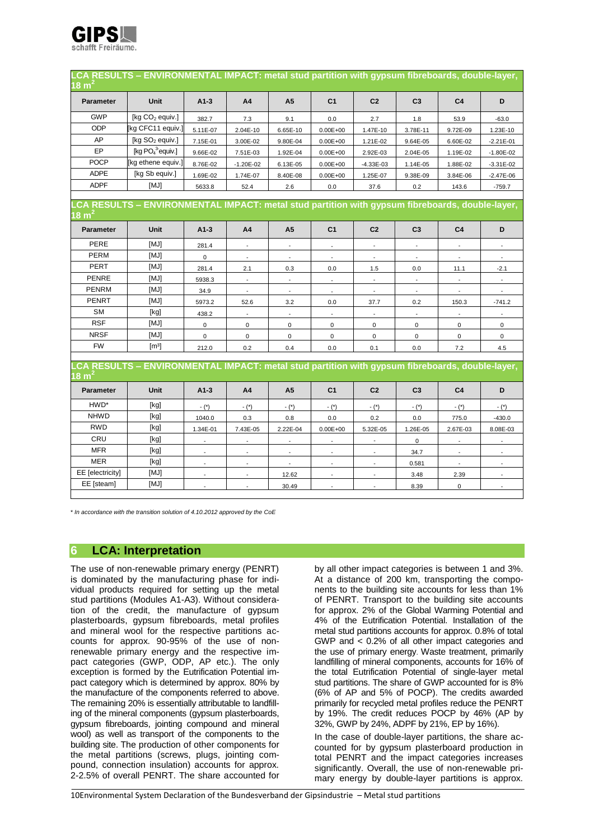

| 18 m $^2$                             | LCA RESULTS - ENVIRONMENTAL IMPACT: metal stud partition with gypsum fibreboards, double-layer, |                          |                                           |                          |                                           |                |                |                |                |
|---------------------------------------|-------------------------------------------------------------------------------------------------|--------------------------|-------------------------------------------|--------------------------|-------------------------------------------|----------------|----------------|----------------|----------------|
| <b>Parameter</b>                      | Unit                                                                                            | $A1-3$                   | A <sub>4</sub>                            | A <sub>5</sub>           | C <sub>1</sub>                            | C <sub>2</sub> | C <sub>3</sub> | C <sub>4</sub> | D              |
| <b>GWP</b>                            | [kg CO <sub>2</sub> equiv.]                                                                     | 382.7                    | 7.3                                       | 9.1                      | 0.0                                       | 2.7            | 1.8            | 53.9           | $-63.0$        |
| ODP                                   | [kg CFC11 equiv.]                                                                               | 5.11E-07                 | 2.04E-10                                  | 6.65E-10                 | $0.00E + 00$                              | 1.47E-10       | 3.78E-11       | 9.72E-09       | 1.23E-10       |
| AP                                    | [ $kg SO2$ equiv.]                                                                              | 7.15E-01                 | 3.00E-02                                  | 9.80E-04                 | $0.00E + 00$                              | 1.21E-02       | 9.64E-05       | 6.60E-02       | $-2.21E-01$    |
| EP                                    | [kg $PO43$ equiv.]                                                                              | 9.66E-02                 | 7.51E-03                                  | 1.92E-04                 | $0.00E + 00$                              | 2.92E-03       | 2.04E-05       | 1.19E-02       | $-1.80E - 02$  |
| <b>POCP</b>                           | [kg ethene equiv.]                                                                              | 8.76E-02                 | $-1.20E-02$                               | 6.13E-05                 | $0.00E + 00$                              | $-4.33E-03$    | 1.14E-05       | 1.88E-02       | $-3.31E-02$    |
| <b>ADPE</b>                           | [kg Sb equiv.]                                                                                  | 1.69E-02                 | 1.74E-07                                  | 8.40E-08                 | $0.00E + 00$                              | 1.25E-07       | 9.38E-09       | 3.84E-06       | $-2.47E-06$    |
| <b>ADPF</b>                           | [MJ]                                                                                            | 5633.8                   | 52.4                                      | 2.6                      | 0.0                                       | 37.6           | 0.2            | 143.6          | $-759.7$       |
|                                       |                                                                                                 |                          |                                           |                          |                                           |                |                |                |                |
| 18 m´                                 | CA RESULTS - ENVIRONMENTAL IMPACT: metal stud partition with gypsum fibreboards, double-layer,  |                          |                                           |                          |                                           |                |                |                |                |
| <b>Parameter</b>                      | Unit                                                                                            | $A1-3$                   | A <sub>4</sub>                            | A <sub>5</sub>           | C <sub>1</sub>                            | C <sub>2</sub> | C <sub>3</sub> | C <sub>4</sub> | D              |
| PERE                                  | [MJ]                                                                                            | 281.4                    | $\blacksquare$                            |                          | $\blacksquare$                            |                |                |                |                |
| <b>PERM</b>                           | [MJ]                                                                                            | $\mathsf 0$              |                                           |                          |                                           |                |                |                |                |
| <b>PERT</b>                           | [MJ]                                                                                            | 281.4                    | 2.1                                       | 0.3                      | 0.0                                       | 1.5            | 0.0            | 11.1           | $-2.1$         |
| <b>PENRE</b>                          | [MJ]                                                                                            | 5938.3                   | $\overline{\phantom{a}}$                  | $\overline{\phantom{a}}$ | $\overline{\phantom{a}}$                  |                | $\blacksquare$ |                |                |
| <b>PENRM</b>                          | [MJ]                                                                                            | 34.9                     |                                           |                          | $\blacksquare$                            |                |                |                |                |
| <b>PENRT</b>                          | [MJ]                                                                                            | 5973.2                   | 52.6                                      | 3.2                      | 0.0                                       | 37.7           | 0.2            | 150.3          | $-741.2$       |
| <b>SM</b>                             | [kg]                                                                                            | 438.2                    |                                           |                          |                                           |                |                |                |                |
| <b>RSF</b>                            | [MJ]                                                                                            | $\mathbf 0$              | $\mathbf 0$                               | $\mathbf 0$              | $\mathbf 0$                               | $\mathbf 0$    | $\mathbf 0$    | $\mathbf 0$    | 0              |
| <b>NRSF</b>                           | [MJ]                                                                                            | $\mathbf 0$              | $\mathbf 0$                               | $\mathbf 0$              | $\mathbf 0$                               | $\pmb{0}$      | $\pmb{0}$      | 0              | 0              |
| <b>FW</b>                             | $\lceil m^3 \rceil$                                                                             | 212.0                    | 0.2                                       | 0.4                      | 0.0                                       | 0.1            | 0.0            | 7.2            | 4.5            |
|                                       | CA RESULTS - ENVIRONMENTAL IMPACT: metal stud partition with gypsum fibreboards, double-layer,  |                          |                                           |                          |                                           |                |                |                |                |
| 18 m <sup>-</sup><br><b>Parameter</b> | Unit                                                                                            | $A1-3$                   | A <sub>4</sub>                            | A <sub>5</sub>           | C <sub>1</sub>                            | C <sub>2</sub> | C <sub>3</sub> | C <sub>4</sub> | D              |
| HWD*                                  | [kg]                                                                                            |                          |                                           |                          |                                           |                |                |                |                |
| <b>NHWD</b>                           | [kg]                                                                                            | $-$ (*)                  | $ (*)$<br>0.3                             | $ (*)$                   | $ (*)$<br>0.0                             | $ (*)$<br>0.2  | $ (*)$<br>0.0  | $ (*)$         | $ (*)$         |
| <b>RWD</b>                            | [kg]                                                                                            | 1040.0                   |                                           | 0.8                      |                                           |                |                | 775.0          | $-430.0$       |
| CRU                                   | [kg]                                                                                            | 1.34E-01                 | 7.43E-05                                  | 2.22E-04                 | $0.00E + 00$                              | 5.32E-05       | 1.26E-05       | 2.67E-03       | 8.08E-03       |
| <b>MFR</b>                            | [kg]                                                                                            |                          |                                           |                          |                                           | $\sim$         | 0              |                |                |
| <b>MER</b>                            | [kg]                                                                                            | $\blacksquare$<br>$\sim$ | $\overline{\phantom{a}}$<br>$\mathcal{L}$ |                          | $\overline{\phantom{a}}$<br>$\mathcal{L}$ |                | 34.7           |                |                |
| EE [electricity]                      | [MJ]                                                                                            |                          |                                           |                          |                                           |                | 0.581          |                |                |
| EE [steam]                            | [MJ]                                                                                            | $\blacksquare$           | $\blacksquare$                            | 12.62                    | $\blacksquare$                            |                | 3.48           | 2.39           |                |
|                                       |                                                                                                 | $\blacksquare$           | $\blacksquare$                            | 30.49                    | $\overline{\phantom{a}}$                  | $\blacksquare$ | 8.39           | $\mathbf 0$    | $\blacksquare$ |

#### **6 LCA: Interpretation**

The use of non-renewable primary energy (PENRT) is dominated by the manufacturing phase for individual products required for setting up the metal stud partitions (Modules A1-A3). Without consideration of the credit, the manufacture of gypsum plasterboards, gypsum fibreboards, metal profiles and mineral wool for the respective partitions accounts for approx. 90-95% of the use of nonrenewable primary energy and the respective impact categories (GWP, ODP, AP etc.). The only exception is formed by the Eutrification Potential impact category which is determined by approx. 80% by the manufacture of the components referred to above. The remaining 20% is essentially attributable to landfilling of the mineral components (gypsum plasterboards, gypsum fibreboards, jointing compound and mineral wool) as well as transport of the components to the building site. The production of other components for the metal partitions (screws, plugs, jointing compound, connection insulation) accounts for approx. 2-2.5% of overall PENRT. The share accounted for

by all other impact categories is between 1 and 3%. At a distance of 200 km, transporting the components to the building site accounts for less than 1% of PENRT. Transport to the building site accounts for approx. 2% of the Global Warming Potential and 4% of the Eutrification Potential. Installation of the metal stud partitions accounts for approx. 0.8% of total GWP and < 0.2% of all other impact categories and the use of primary energy. Waste treatment, primarily landfilling of mineral components, accounts for 16% of the total Eutrification Potential of single-layer metal stud partitions. The share of GWP accounted for is 8% (6% of AP and 5% of POCP). The credits awarded primarily for recycled metal profiles reduce the PENRT by 19%. The credit reduces POCP by 46% (AP by 32%, GWP by 24%, ADPF by 21%, EP by 16%).

In the case of double-layer partitions, the share accounted for by gypsum plasterboard production in total PENRT and the impact categories increases significantly. Overall, the use of non-renewable primary energy by double-layer partitions is approx.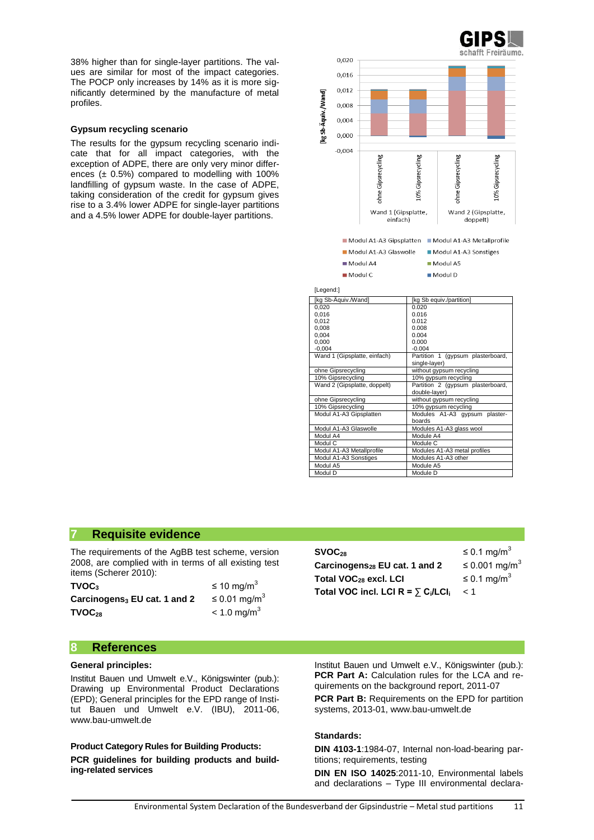38% higher than for single-layer partitions. The values are similar for most of the impact categories. The POCP only increases by 14% as it is more significantly determined by the manufacture of metal profiles.

#### **Gypsum recycling scenario**

The results for the gypsum recycling scenario indicate that for all impact categories, with the exception of ADPE, there are only very minor differences  $(± 0.5%)$  compared to modelling with 100% landfilling of gypsum waste. In the case of ADPE, taking consideration of the credit for gypsum gives rise to a 3.4% lower ADPE for single-layer partitions and a 4.5% lower ADPE for double-layer partitions.



double-layer)

boards

Module A4

Module D

Modules A1-A3 gypsum plaster

Modules A1-A3 metal profiles<br>Modules A1-A3 other

ohne Gipsrecycling without gypsum recycling 10% Gipsrecycling 10% gypsum recycling<br>Modul A1-A3 Gipsplatten Modules A1-A3 gyps

Modul A1-A3 Glaswolle Modules A1-A3 glass wool<br>Modul A4 Module A4

Modul C Module C<br>Modul A1-A3 Metallprofile Modules

Modul A5 Module A5<br>Modul D Module D

Modul A1-A3 Sonstiges

#### **7 Requisite evidence**

The requirements of the AgBB test scheme, version 2008, are complied with in terms of all existing test items (Scherer 2010):

| TVOC <sub>3</sub>                | $\leq 10 \text{ mg/m}^3$      |
|----------------------------------|-------------------------------|
| Carcinogens $_3$ EU cat. 1 and 2 | $\leq$ 0.01 mg/m <sup>3</sup> |
| TVOC <sub>28</sub>               | $< 1.0$ mg/m <sup>3</sup>     |

| SVOC <sub>28</sub>                                              | $\leq$ 0.1 mg/m <sup>3</sup> |
|-----------------------------------------------------------------|------------------------------|
| Carcinogens <sub>28</sub> EU cat. 1 and 2                       | ≤ 0.001 mg/m <sup>3</sup>    |
| Total VOC <sub>28</sub> excl. LCI                               | $\leq$ 0.1 mg/m <sup>3</sup> |
| Total VOC incl. LCI R = $\sum$ C <sub>i</sub> /LCI <sub>i</sub> | - < 1                        |
|                                                                 |                              |

### **8 References**

#### **General principles:**

Institut Bauen und Umwelt e.V., Königswinter (pub.): Drawing up Environmental Product Declarations (EPD); General principles for the EPD range of Institut Bauen und Umwelt e.V. (IBU), 2011-06, [www.bau-umwelt.de](http://www.bau-umwelt.de/)

**Product Category Rules for Building Products: PCR guidelines for building products and building-related services**

Institut Bauen und Umwelt e.V., Königswinter (pub.): **PCR Part A:** Calculation rules for the LCA and requirements on the background report, 2011-07

**PCR Part B:** Requirements on the EPD for partition systems, 2013-01[, www.bau-umwelt.de](http://www.bau-umwelt.de/)

#### **Standards:**

**DIN 4103-1**:1984-07, Internal non-load-bearing partitions; requirements, testing

**DIN EN ISO 14025**:2011-10, Environmental labels and declarations – Type III environmental declara-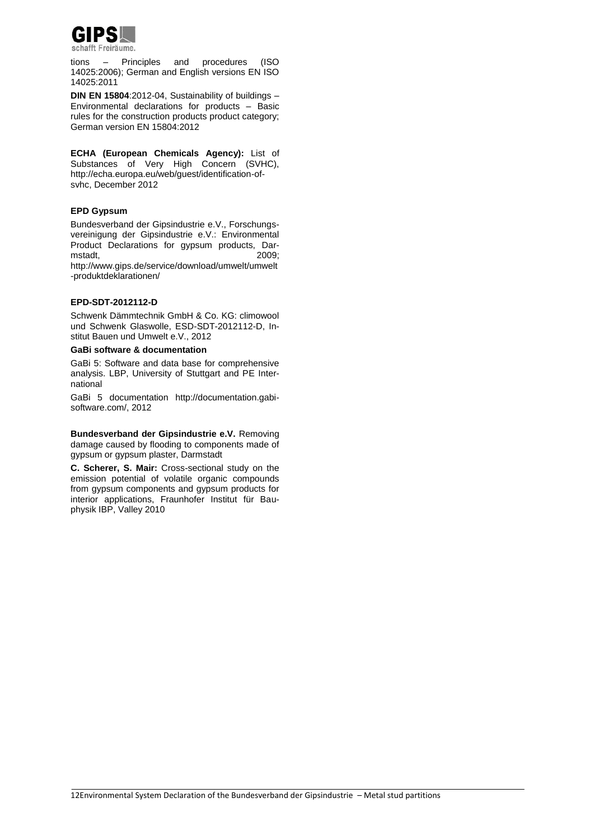

tions – Principles and procedures (ISO 14025:2006); German and English versions EN ISO 14025:2011

**DIN EN 15804**:2012-04, Sustainability of buildings – Environmental declarations for products – Basic rules for the construction products product category; German version EN 15804:2012

**ECHA (European Chemicals Agency):** List of Substances of Very High Concern (SVHC), [http://echa.europa.eu/web/guest/identification-of](http://echa.europa.eu/web/guest/identification-of-svhc)[svhc,](http://echa.europa.eu/web/guest/identification-of-svhc) December 2012

#### **EPD Gypsum**

Bundesverband der Gipsindustrie e.V., Forschungsvereinigung der Gipsindustrie e.V.: Environmental Product Declarations for gypsum products, Darmstadt, [http://www.gips.de/service/download/umwelt/umwelt](http://www.gips.de/service/download/umwelt/umwelt-produktdeklarationen/) [-produktdeklarationen/](http://www.gips.de/service/download/umwelt/umwelt-produktdeklarationen/)

#### **EPD-SDT-2012112-D**

Schwenk Dämmtechnik GmbH & Co. KG: climowool und Schwenk Glaswolle, ESD-SDT-2012112-D, Institut Bauen und Umwelt e.V., 2012

#### **GaBi software & documentation**

GaBi 5: Software and data base for comprehensive analysis. LBP, University of Stuttgart and PE International

GaBi 5 documentation [http://documentation.gabi](http://documentation.gabi-software.com/)[software.com/,](http://documentation.gabi-software.com/) 2012

**Bundesverband der Gipsindustrie e.V.** Removing damage caused by flooding to components made of gypsum or gypsum plaster, Darmstadt

**C. Scherer, S. Mair:** Cross-sectional study on the emission potential of volatile organic compounds from gypsum components and gypsum products for interior applications, Fraunhofer Institut für Bauphysik IBP, Valley 2010